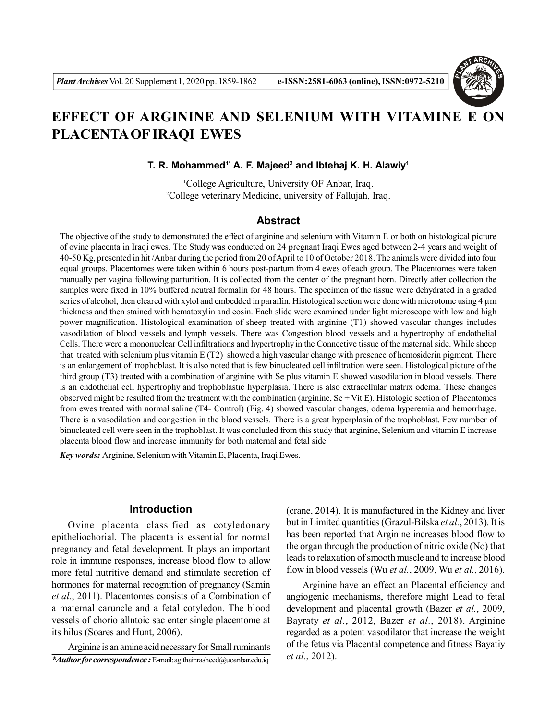

# **EFFECT OF ARGININE AND SELENIUM WITH VITAMINE E ON PLACENTA OF IRAQI EWES**

**T. R. Mohammed1\* A. F. Majeed<sup>2</sup> and Ibtehaj K. H. Alawiy<sup>1</sup>**

<sup>1</sup>College Agriculture, University OF Anbar, Iraq. <sup>2</sup>College veterinary Medicine, university of Fallujah, Iraq.

# **Abstract**

The objective of the study to demonstrated the effect of arginine and selenium with Vitamin E or both on histological picture of ovine placenta in Iraqi ewes. The Study was conducted on 24 pregnant Iraqi Ewes aged between 2-4 years and weight of 40-50 Kg, presented in hit /Anbar during the period from 20 of April to 10 of October 2018. The animals were divided into four equal groups. Placentomes were taken within 6 hours post-partum from 4 ewes of each group. The Placentomes were taken manually per vagina following parturition. It is collected from the center of the pregnant horn. Directly after collection the samples were fixed in 10% buffered neutral formalin for 48 hours. The specimen of the tissue were dehydrated in a graded series of alcohol, then cleared with xylol and embedded in paraffin. Histological section were done with microtome using 4 µm thickness and then stained with hematoxylin and eosin. Each slide were examined under light microscope with low and high power magnification. Histological examination of sheep treated with arginine (T1) showed vascular changes includes vasodilation of blood vessels and lymph vessels. There was Congestion blood vessels and a hypertrophy of endothelial Cells. There were a mononuclear Cell infiltrations and hypertrophy in the Connective tissue of the maternal side. While sheep that treated with selenium plus vitamin E (T2) showed a high vascular change with presence of hemosiderin pigment. There is an enlargement of trophoblast. It is also noted that is few binucleated cell infiltration were seen. Histological picture of the third group (T3) treated with a combination of arginine with Se plus vitamin E showed vasodilation in blood vessels. There is an endothelial cell hypertrophy and trophoblastic hyperplasia. There is also extracellular matrix odema. These changes observed might be resulted from the treatment with the combination (arginine,  $Se + Vit E$ ). Histologic section of Placentomes from ewes treated with normal saline (T4- Control) (Fig. 4) showed vascular changes, odema hyperemia and hemorrhage. There is a vasodilation and congestion in the blood vessels. There is a great hyperplasia of the trophoblast. Few number of binucleated cell were seen in the trophoblast. It was concluded from this study that arginine, Selenium and vitamin E increase placenta blood flow and increase immunity for both maternal and fetal side

*Key words:* Arginine, Selenium with Vitamin E, Placenta, Iraqi Ewes.

# **Introduction**

Ovine placenta classified as cotyledonary epitheliochorial. The placenta is essential for normal pregnancy and fetal development. It plays an important role in immune responses, increase blood flow to allow more fetal nutritive demand and stimulate secretion of hormones for maternal recognition of pregnancy (Samin *et al.*, 2011). Placentomes consists of a Combination of a maternal caruncle and a fetal cotyledon. The blood vessels of chorio allntoic sac enter single placentome at its hilus (Soares and Hunt, 2006).

Arginine is an amine acid necessary for Small ruminants *\*Author for correspondence :*E-mail: ag.thair.rasheed@uoanbar.edu.iq

(crane, 2014). It is manufactured in the Kidney and liver but in Limited quantities (Grazul-Bilska *et al.*, 2013). It is has been reported that Arginine increases blood flow to the organ through the production of nitric oxide (No) that leads to relaxation of smooth muscle and to increase blood flow in blood vessels (Wu *et al.*, 2009, Wu *et al.*, 2016).

Arginine have an effect an Placental efficiency and angiogenic mechanisms, therefore might Lead to fetal development and placental growth (Bazer *et al.*, 2009, Bayraty *et al.*, 2012, Bazer *et al.*, 2018). Arginine regarded as a potent vasodilator that increase the weight of the fetus via Placental competence and fitness Bayatiy *et al.*, 2012).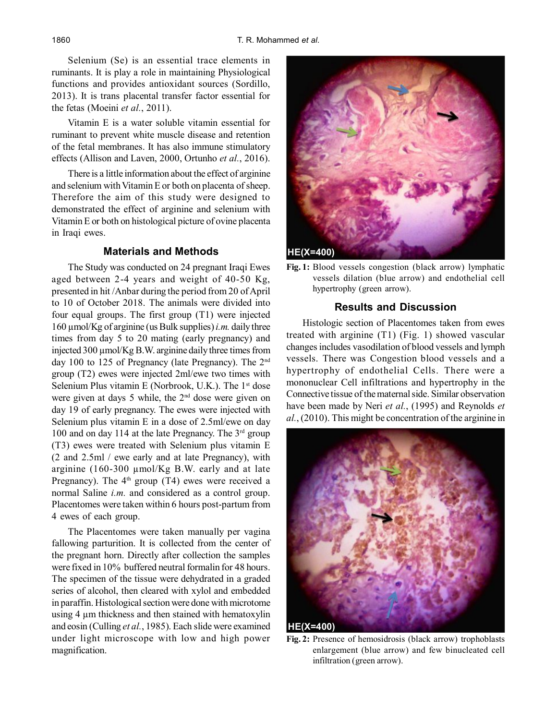Selenium (Se) is an essential trace elements in ruminants. It is play a role in maintaining Physiological functions and provides antioxidant sources (Sordillo, 2013). It is trans placental transfer factor essential for the fetas (Moeini *et al.*, 2011).

Vitamin E is a water soluble vitamin essential for ruminant to prevent white muscle disease and retention of the fetal membranes. It has also immune stimulatory effects (Allison and Laven, 2000, Ortunho *et al.*, 2016).

There is a little information about the effect of arginine and selenium with Vitamin E or both on placenta of sheep. Therefore the aim of this study were designed to demonstrated the effect of arginine and selenium with Vitamin E or both on histological picture of ovine placenta in Iraqi ewes.

#### **Materials and Methods**

The Study was conducted on 24 pregnant Iraqi Ewes aged between 2-4 years and weight of 40-50 Kg, presented in hit /Anbar during the period from 20 of April to 10 of October 2018. The animals were divided into four equal groups. The first group (T1) were injected 160 µmol/Kg of arginine (us Bulk supplies) *i.m.* daily three times from day 5 to 20 mating (early pregnancy) and injected 300 µmol/Kg B.W. arginine daily three times from day 100 to 125 of Pregnancy (late Pregnancy). The 2nd group (T2) ewes were injected 2ml/ewe two times with Selenium Plus vitamin E (Norbrook, U.K.). The  $1<sup>st</sup>$  dose were given at days 5 while, the 2nd dose were given on day 19 of early pregnancy. The ewes were injected with Selenium plus vitamin E in a dose of 2.5ml/ewe on day 100 and on day 114 at the late Pregnancy. The  $3<sup>rd</sup>$  group (T3) ewes were treated with Selenium plus vitamin E (2 and 2.5ml / ewe early and at late Pregnancy), with arginine (160-300 µmol/Kg B.W. early and at late Pregnancy). The  $4<sup>th</sup>$  group (T4) ewes were received a normal Saline *i.m.* and considered as a control group. Placentomes were taken within 6 hours post-partum from 4 ewes of each group.

The Placentomes were taken manually per vagina fallowing parturition. It is collected from the center of the pregnant horn. Directly after collection the samples were fixed in 10% buffered neutral formalin for 48 hours. The specimen of the tissue were dehydrated in a graded series of alcohol, then cleared with xylol and embedded in paraffin. Histological section were done with microtome using 4 µm thickness and then stained with hematoxylin and eosin (Culling *et al.*, 1985). Each slide were examined under light microscope with low and high power magnification.



**Fig. 1:** Blood vessels congestion (black arrow) lymphatic vessels dilation (blue arrow) and endothelial cell hypertrophy (green arrow).

# **Results and Discussion**

Histologic section of Placentomes taken from ewes treated with arginine (T1) (Fig. 1) showed vascular changes includes vasodilation of blood vessels and lymph vessels. There was Congestion blood vessels and a hypertrophy of endothelial Cells. There were a mononuclear Cell infiltrations and hypertrophy in the Connective tissue of the maternal side. Similar observation have been made by Neri *et al.*, (1995) and Reynolds *et al.*, (2010). This might be concentration of the arginine in



**Fig. 2:** Presence of hemosidrosis (black arrow) trophoblasts enlargement (blue arrow) and few binucleated cell infiltration (green arrow).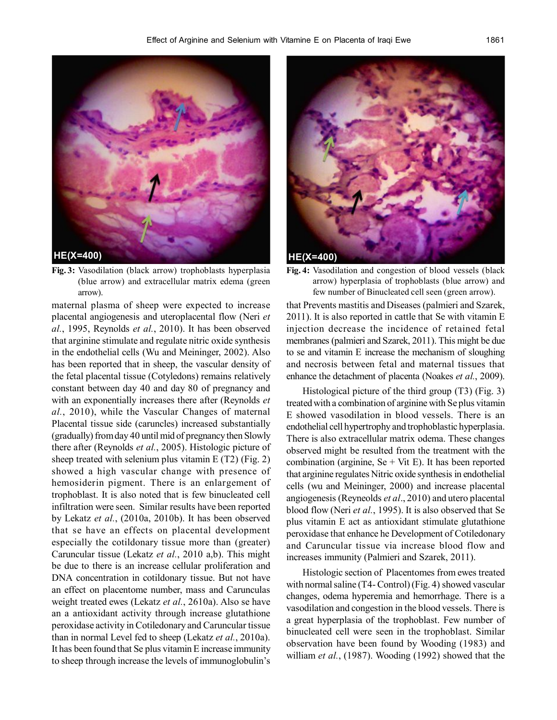

**Fig. 3:** Vasodilation (black arrow) trophoblasts hyperplasia (blue arrow) and extracellular matrix edema (green arrow).

maternal plasma of sheep were expected to increase placental angiogenesis and uteroplacental flow (Neri *et al.*, 1995, Reynolds *et al.*, 2010). It has been observed that arginine stimulate and regulate nitric oxide synthesis in the endothelial cells (Wu and Meininger, 2002). Also has been reported that in sheep, the vascular density of the fetal placental tissue (Cotyledons) remains relatively constant between day 40 and day 80 of pregnancy and with an exponentially increases there after (Reynolds *et al.*, 2010), while the Vascular Changes of maternal Placental tissue side (caruncles) increased substantially (gradually) from day 40 until mid of pregnancy then Slowly there after (Reynolds *et al.*, 2005). Histologic picture of sheep treated with selenium plus vitamin E (T2) (Fig. 2) showed a high vascular change with presence of hemosiderin pigment. There is an enlargement of trophoblast. It is also noted that is few binucleated cell infiltration were seen. Similar results have been reported by Lekatz *et al.*, (2010a, 2010b). It has been observed that se have an effects on placental development especially the cotildonary tissue more than (greater) Caruncular tissue (Lekatz *et al.*, 2010 a,b). This might be due to there is an increase cellular proliferation and DNA concentration in cotildonary tissue. But not have an effect on placentome number, mass and Carunculas weight treated ewes (Lekatz *et al.*, 2610a). Also se have an a antioxidant activity through increase glutathione peroxidase activity in Cotiledonary and Caruncular tissue than in normal Level fed to sheep (Lekatz *et al.*, 2010a). It has been found that Se plus vitamin E increase immunity to sheep through increase the levels of immunoglobulin's



**Fig. 4:** Vasodilation and congestion of blood vessels (black arrow) hyperplasia of trophoblasts (blue arrow) and few number of Binucleated cell seen (green arrow).

that Prevents mastitis and Diseases (palmieri and Szarek, 2011). It is also reported in cattle that Se with vitamin E injection decrease the incidence of retained fetal membranes (palmieri and Szarek, 2011). This might be due to se and vitamin E increase the mechanism of sloughing and necrosis between fetal and maternal tissues that enhance the detachment of placenta (Noakes *et al.*, 2009).

Histological picture of the third group (T3) (Fig. 3) treated with a combination of arginine with Se plus vitamin E showed vasodilation in blood vessels. There is an endothelial cell hypertrophy and trophoblastic hyperplasia. There is also extracellular matrix odema. These changes observed might be resulted from the treatment with the combination (arginine,  $Se + Vit E$ ). It has been reported that arginine regulates Nitric oxide synthesis in endothelial cells (wu and Meininger, 2000) and increase placental angiogenesis (Reyneolds *et al*., 2010) and utero placental blood flow (Neri *et al.*, 1995). It is also observed that Se plus vitamin E act as antioxidant stimulate glutathione peroxidase that enhance he Development of Cotiledonary and Caruncular tissue via increase blood flow and increases immunity (Palmieri and Szarek, 2011).

Histologic section of Placentomes from ewes treated with normal saline (T4- Control) (Fig. 4) showed vascular changes, odema hyperemia and hemorrhage. There is a vasodilation and congestion in the blood vessels. There is a great hyperplasia of the trophoblast. Few number of binucleated cell were seen in the trophoblast. Similar observation have been found by Wooding (1983) and william *et al.*, (1987). Wooding (1992) showed that the